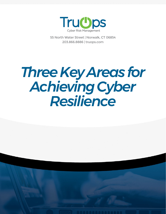

55 North Water Street | Norwalk, CT 06854 203.866.8886 | truops.com

# *Three Key Areas for Achieving Cyber Resilience*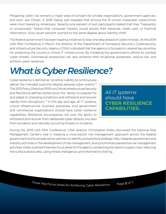Mitigating cyber risk remains a major area of concern for private organizations, government agencies, and even Joe Citizen. A 2018 Gallup poll revealed that among the 13 crimes measured, cybercrimes were most feared by Americans. Seventy-one percent of poll participants stated that they "frequently or occasionally" feared that computer hackers would access their personal, credit card, or financial information. Sixty-seven percent worried to the same degree about identity theft.<sup>1</sup>

The federal government has been leading initiatives to stay one step ahead of cybercriminals. At the 2019 USA RSA Conference in March, the director of the Department of Homeland Security's Cybersecurity and Infrastructure Security Agency (CISA) indicated that the agency is focused on several key priorities for protecting the country's critical IT infrastructure. By modeling the government's efforts to combat cyber threats, commercial enterprises can also enhance their situational awareness, reduce risk, and achieve cyber resilience.

# *What is Cyber Resilience?*

Cyber resilience is defined as "an entity's ability to continuously deliver the intended outcome despite adverse cyber events."2 The 2013 Policy Directive (PPD) on Critical Infrastructure Security and Resilience defines resilience as the "ability to prepare for and adapt to changing conditions and withstand and recover rapidly from disruptions."<sup>3</sup> In this day and age, all IT systems, critical infrastructure, business processes, and government and commercial organizations should have cyber resilience capabilities. Resilience encompasses not only the ability to withstand and recover from deliberate cyber attacks, but also from accidents and naturally occurring threats or incidents.

*All IT systems should have*  **CYBER RESILIENCE CAPABILITIES.**

During the 2019 USA RSA Conference, CISA director Christopher Krebs discussed the National Risk Management Center's role in creating a cross-sector risk management approach across the federal government and its private sector partners to identify and prioritize strategic risks, integrate government and industry activities in the development of risk management, and synchronize operational risk management activities. Krebs outlined three key focus areas for the agency: protecting the nation's supply chain, reducing the surface attack area, using threat intelligence, and information sharing.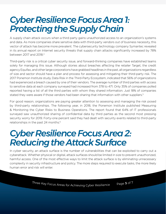#### *Cyber Resilience Focus Area 1: Protecting the Supply Chain*

A supply chain attack occurs when a third party gains unauthorized access to an organization's systems and data. As more companies share sensitive data with third-party vendors out of business necessity, this vector of attack has become more prevalent. The cybersecurity technology company Symantec revealed in its annual report on Internet security threats that supply chain attacks significantly increased by 78% between 2017 and 2018.4

Third-party risk is a critical cyber security issue, and forward-thinking companies have established teams solely for managing this issue. Although stories about breaches affecting the retailer Target, the credit agency Equifax, and other large corporations have grabbed headlines in the past, all organizations regardless of size and sector should have a plan and process for assessing and mitigating their third-party risk. The 2017 Ponemon Institute study, Data Risk in the Third-Party Ecosystem, indicated that 56% of organizations had experienced a breach caused by one of their vendors. The average number of third parties with access to sensitive data at each company surveyed had increased from 378 to 471. Only 35% of companies polled reported having a list of all the third parties with whom they shared information. Just 18% of companies stated they were aware if those vendors had been sharing that information with other suppliers.<sup>5</sup>

For good reason, organizations are paying greater attention to assessing and managing the risk posed by third-party relationships. The following year, in 2018, the Ponemon Institute published Measuring & Monitoring the Cyber Risks to Business Operations. The report found that 64% of IT professionals surveyed saw unauthorized sharing of confidential data by third parties as the second most pressing security worry for 2019. Forty-one percent said they had dealt with security events related to third-party relationships in the past 24 months.<sup>6</sup>

### *Cyber Resilience Focus Area 2: Reducing the Attack Surface*

In cyber security, an attack surface is the number of vulnerabilities that can be exploited to carry out a cyberattack. Whether physical or digital, attack surfaces should be limited in size to prevent unauthorized, harmful access. One of the most effective ways to limit the attack surface is by eliminating unnecessary complexity in security infrastructure and policy. The more steps required to execute tasks, the more likely human error and risk will enter.

Three Key Focus Areas for Achieving Cyber Resilience Page 3 of  $7^{\prime}$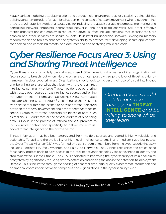Attack surface modeling, attack simulation, and patch simulation are methods for visualizing vulnerabilities utilizing a real-time model of what might happen in the context of network movement when a cybercriminal attacks a vulnerability. Additional strategies for reducing the attack surface encompass monitoring and controlling network endpoints, segmenting networks, and prioritizing analytics. Still other effective tactics organizations can employ to reduce the attack surface include: ensuring that security tools are enabled and other services are secure by default; uninstalling unneeded software; leveraging memory randomization and tools to enhance the system's ability to protect itself; developing secure applications, sandboxing and containing threats; and documenting and analyzing malicious code.

### *Cyber Resilience Focus Area 3: Using and Sharing Threat Intelligence*

Cyber threats occur on a daily basis at warp speed. Oftentimes it isn't a matter of if an organization will face a security breach, but when. No one organization can possibly gauge the level of threat activity by nameless, faceless cybercriminals. Organizations should look to increase their use of threat intelligence

and be willing to share what they learn with the cyberthreat intelligence community at large. This can be done by partnering with trusted open source threat intelligence sources and joining the Department of Homeland Security's (DHS) Automated Indicator Sharing (AIS) program.<sup>7</sup> According to the DHS, this free service facilitates the exchange of cyber threat indicators between the federal government and private sector at machine speed. Examples of threat indicators are pieces of data, such as malicious IP addresses or the sender address of a phishing email. CISA is in the process of refining the AIS program to include more context and specificity to deliver more valueadded threat intelligence to the private sector.

*Organizations should look to increase their use of* **THREAT INTELLIGENCE** *and be willing to share what they learn.*

Threat information that has been aggregated from multiple sources and vetted is highly valuable and actionable. To facilitate the availability of high-level intelligence to small- and medium-sized businesses, the Cyber Threat Alliance (CTA) was formed by a consortium of members from the cybersecurity industry, including Fortinet, McAfee, Symantec, and Palo Alto Networks. The Alliance recognizes the critical need for security professionals to have access to the intelligence and technology tools they need to identify and stop cyberattacks in their tracks. The CTA is dedicated to improving the cybersecurity of its global digital ecosystem by significantly reducing time to detection and closing the gap in the detection-to-deployment lifecycle. This is facilitated through the sharing of near real-time, high-quality cyber threat information and operational coordination between companies and organizations in the cybersecurity field.<sup>8</sup>

Three Key Focus Areas for Achieving Cyber Resilience Page 4 of  $7^{\prime}$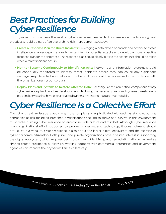### *Best Practices for Building Cyber Resilience*

For organizations to achieve the level of cyber awareness needed to build resilience, the following best practices should be part of an overarching risk management strategy:

- Create a Response Plan for Threat Incidents: Leveraging a data-driven approach and advanced threat intelligence enables organizations to better identify potential attacks and develop a more proactive response plan for the enterprise. The response plan should clearly outline the actions that should be taken when a threat incident occurs.
- Monitor Systems Continuously to Identify Attacks: Networks and information systems should be continually monitored to identify threat incidents before they can cause any significant damage. Any detected anomalies and vulnerabilities should be addressed in accordance with the organizational response plan.
- Deploy Plans and Systems to Restore Affected Data: Recovery is a mission-critical component of any cyber resilience plan. It involves developing and deploying the necessary plans and systems to restore any data and services that have been impacted during a cyberattack as quickly as possible.

## *Cyber Resilience Is a Collective Effort*

The cyber threat landscape is becoming more complex and sophisticated with each passing day, putting companies at risk for being breached. Organizations seeking to thrive and survive in this environment must make building cyber resilience an enterprise-wide culture and mindset. Although cyber resilience is an organizational effort supported by people, processes, and technology, it does not—and should not—exist in a vacuum. Cyber resilience is also about the larger digital ecosystem and the exercise of cyber corporate citizenship. Both public and private organizations have a vested interest in supporting the digital ecosystem, which requires being proactive in identifying and remediating attacks, as well as sharing threat intelligence publicly. By working cooperatively, commercial enterprises and government agencies can improve their cyber resilience collectively.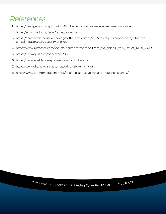#### *References*

- 1. https://news.gallup.com/poll/244676/cybercrimes-remain-worrisome-americans.aspx
- 2. https://en.wikipedia.org/wiki/Cyber\_resilience
- 3. https://obamawhitehouse.archives.gov/the-press-office/2013/02/12/presidential-policy-directivecritical-infrastructure-security-and-resil
- 4. https://www.symantec.com/security-center/threat-report?om\_ext\_cid=biz\_vnty\_istr-24\_multi\_v10195
- 5. https://www.opus.com/ponemon-2017/
- 6. https://www.tenable.com/ponemon-report/cyber-risk
- 7. https://www.dhs.gov/cisa/automated-indicator-sharing-ais
- 8. https://www.cyberthreatalliance.org/value-collaborative-threat-intelligence-sharing/